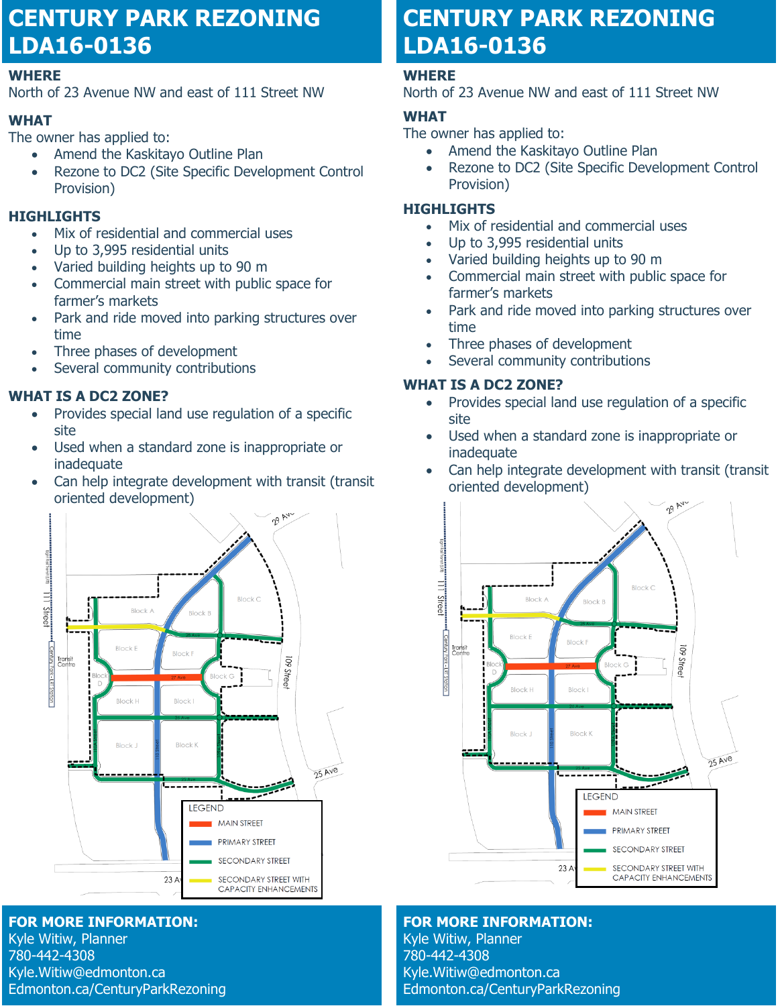# **CENTURY PARK REZONING LDA16-0136**

#### **WHERE**

North of 23 Avenue NW and east of 111 Street NW

# **WHAT**

The owner has applied to:

- Amend the Kaskitayo Outline Plan
- Rezone to DC2 (Site Specific Development Control Provision)

# **HIGHLIGHTS**

- Mix of residential and commercial uses
- Up to 3,995 residential units
- Varied building heights up to 90 m
- Commercial main street with public space for farmer's markets
- Park and ride moved into parking structures over time
- Three phases of development
- Several community contributions

# **WHAT IS A DC2 ZONE?**

- Provides special land use regulation of a specific site
- Used when a standard zone is inappropriate or inadequate
- Can help integrate development with transit (transit oriented development)



**FOR MORE INFORMATION:** Kyle Witiw, Planner 780-442-4308 Kyle.Witiw@edmonton.ca Edmonton.ca/CenturyParkRezoning

# **CENTURY PARK REZONING LDA16-0136**

# **WHERE**

North of 23 Avenue NW and east of 111 Street NW

# **WHAT**

The owner has applied to:

- Amend the Kaskitayo Outline Plan
- Rezone to DC2 (Site Specific Development Control Provision)

## **HIGHLIGHTS**

- Mix of residential and commercial uses
- Up to 3,995 residential units
- Varied building heights up to 90 m
- Commercial main street with public space for farmer's markets
- Park and ride moved into parking structures over time
- Three phases of development
- Several community contributions

# **WHAT IS A DC2 ZONE?**

- Provides special land use regulation of a specific site
- Used when a standard zone is inappropriate or inadequate
- Can help integrate development with transit (transit oriented development)



**FOR MORE INFORMATION:** Kyle Witiw, Planner 780-442-4308 Kyle.Witiw@edmonton.ca Edmonton.ca/CenturyParkRezoning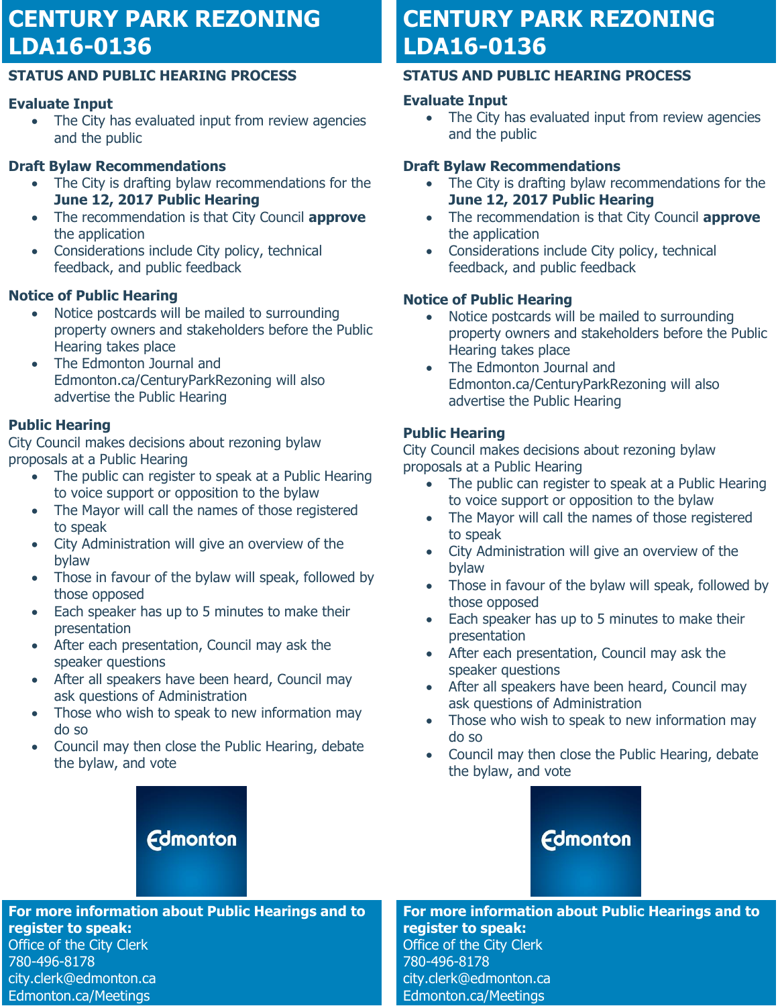# **CENTURY PARK REZONING LDA16-0136**

## **STATUS AND PUBLIC HEARING PROCESS**

# **Evaluate Input**

• The City has evaluated input from review agencies and the public

# **Draft Bylaw Recommendations**

- The City is drafting bylaw recommendations for the **June 12, 2017 Public Hearing**
- The recommendation is that City Council **approve** the application
- Considerations include City policy, technical feedback, and public feedback

# **Notice of Public Hearing**

- Notice postcards will be mailed to surrounding property owners and stakeholders before the Public Hearing takes place
- The Edmonton Journal and Edmonton.ca/CenturyParkRezoning will also advertise the Public Hearing

# **Public Hearing**

City Council makes decisions about rezoning bylaw proposals at a Public Hearing

- The public can register to speak at a Public Hearing to voice support or opposition to the bylaw
- The Mayor will call the names of those registered to speak
- City Administration will give an overview of the bylaw
- Those in favour of the bylaw will speak, followed by those opposed
- Each speaker has up to 5 minutes to make their presentation
- After each presentation, Council may ask the speaker questions
- After all speakers have been heard, Council may ask questions of Administration
- Those who wish to speak to new information may do so
- Council may then close the Public Hearing, debate the bylaw, and vote

# **CENTURY PARK REZONING LDA16-0136**

# **STATUS AND PUBLIC HEARING PROCESS**

# **Evaluate Input**

• The City has evaluated input from review agencies and the public

# **Draft Bylaw Recommendations**

- The City is drafting bylaw recommendations for the **June 12, 2017 Public Hearing**
- The recommendation is that City Council **approve** the application
- Considerations include City policy, technical feedback, and public feedback

# **Notice of Public Hearing**

- Notice postcards will be mailed to surrounding property owners and stakeholders before the Public Hearing takes place
- The Edmonton Journal and Edmonton.ca/CenturyParkRezoning will also advertise the Public Hearing

# **Public Hearing**

City Council makes decisions about rezoning bylaw proposals at a Public Hearing

- The public can register to speak at a Public Hearing to voice support or opposition to the bylaw
- The Mayor will call the names of those registered to speak
- City Administration will give an overview of the bylaw
- Those in favour of the bylaw will speak, followed by those opposed
- Each speaker has up to 5 minutes to make their presentation
- After each presentation, Council may ask the speaker questions
- After all speakers have been heard, Council may ask questions of Administration
- Those who wish to speak to new information may do so
- Council may then close the Public Hearing, debate the bylaw, and vote



#### **For more information about Public Hearings and to register to speak:**

Office of the City Clerk 780-496-8178 city.clerk@edmonton.ca Edmonton.ca/Meetings

**Edmonton** 

**For more information about Public Hearings and to register to speak:**

Office of the City Clerk 780-496-8178 city.clerk@edmonton.ca Edmonton.ca/Meetings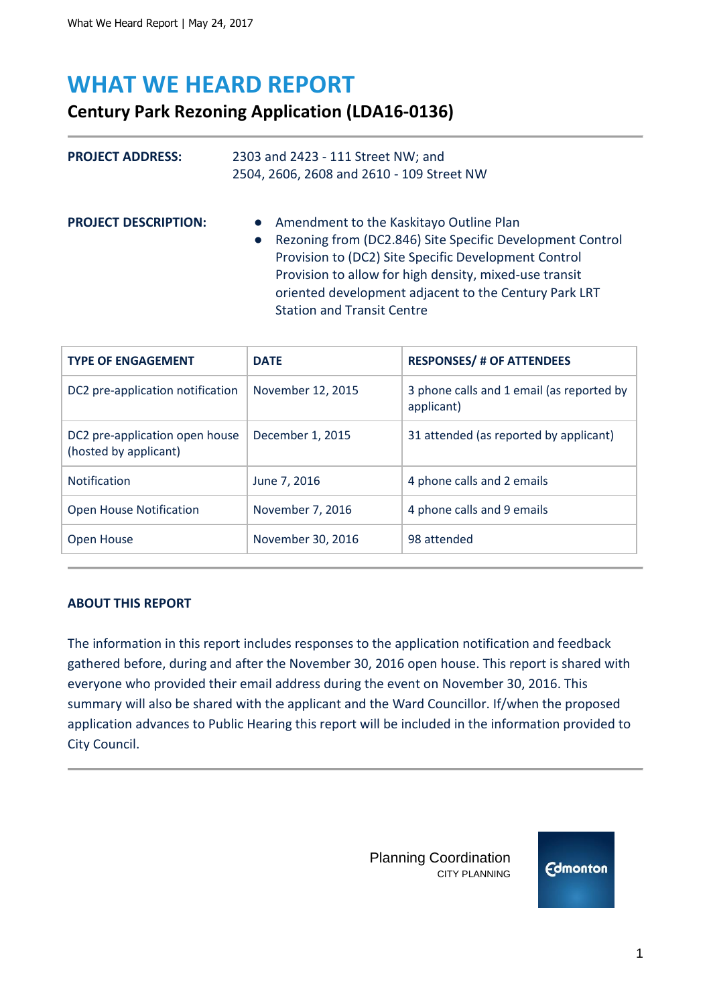# **WHAT WE HEARD REPORT**

# **Century Park Rezoning Application (LDA16-0136)**

| <b>PROJECT ADDRESS:</b>     | 2303 and 2423 - 111 Street NW; and<br>2504, 2606, 2608 and 2610 - 109 Street NW                                                                                                                                                                                                                                          |  |
|-----------------------------|--------------------------------------------------------------------------------------------------------------------------------------------------------------------------------------------------------------------------------------------------------------------------------------------------------------------------|--|
| <b>PROJECT DESCRIPTION:</b> | • Amendment to the Kaskitayo Outline Plan<br>• Rezoning from (DC2.846) Site Specific Development Control<br>Provision to (DC2) Site Specific Development Control<br>Provision to allow for high density, mixed-use transit<br>oriented development adjacent to the Century Park LRT<br><b>Station and Transit Centre</b> |  |

| <b>TYPE OF ENGAGEMENT</b>                               | <b>DATE</b>       | <b>RESPONSES/ # OF ATTENDEES</b>                        |
|---------------------------------------------------------|-------------------|---------------------------------------------------------|
| DC2 pre-application notification                        | November 12, 2015 | 3 phone calls and 1 email (as reported by<br>applicant) |
| DC2 pre-application open house<br>(hosted by applicant) | December 1, 2015  | 31 attended (as reported by applicant)                  |
| <b>Notification</b>                                     | June 7, 2016      | 4 phone calls and 2 emails                              |
| <b>Open House Notification</b>                          | November 7, 2016  | 4 phone calls and 9 emails                              |
| Open House                                              | November 30, 2016 | 98 attended                                             |

#### **ABOUT THIS REPORT**

The information in this report includes responses to the application notification and feedback gathered before, during and after the November 30, 2016 open house. This report is shared with everyone who provided their email address during the event on November 30, 2016. This summary will also be shared with the applicant and the Ward Councillor. If/when the proposed application advances to Public Hearing this report will be included in the information provided to City Council.

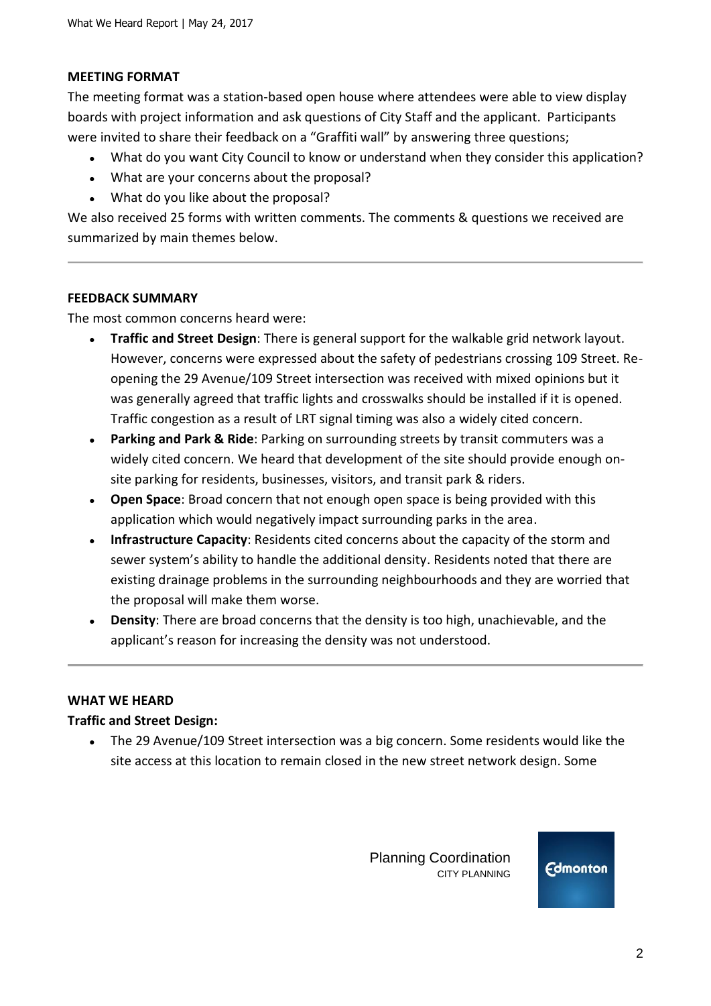#### **MEETING FORMAT**

The meeting format was a station-based open house where attendees were able to view display boards with project information and ask questions of City Staff and the applicant. Participants were invited to share their feedback on a "Graffiti wall" by answering three questions;

- What do you want City Council to know or understand when they consider this application?
- What are your concerns about the proposal?
- What do you like about the proposal?

We also received 25 forms with written comments. The comments & questions we received are summarized by main themes below.

#### **FEEDBACK SUMMARY**

The most common concerns heard were:

- **Traffic and Street Design:** There is general support for the walkable grid network layout. However, concerns were expressed about the safety of pedestrians crossing 109 Street. Reopening the 29 Avenue/109 Street intersection was received with mixed opinions but it was generally agreed that traffic lights and crosswalks should be installed if it is opened. Traffic congestion as a result of LRT signal timing was also a widely cited concern.
- **Parking and Park & Ride**: Parking on surrounding streets by transit commuters was a widely cited concern. We heard that development of the site should provide enough onsite parking for residents, businesses, visitors, and transit park & riders.
- **Open Space**: Broad concern that not enough open space is being provided with this application which would negatively impact surrounding parks in the area.
- **Infrastructure Capacity**: Residents cited concerns about the capacity of the storm and sewer system's ability to handle the additional density. Residents noted that there are existing drainage problems in the surrounding neighbourhoods and they are worried that the proposal will make them worse.
- Density: There are broad concerns that the density is too high, unachievable, and the applicant's reason for increasing the density was not understood.

#### **WHAT WE HEARD**

#### **Traffic and Street Design:**

• The 29 Avenue/109 Street intersection was a big concern. Some residents would like the site access at this location to remain closed in the new street network design. Some

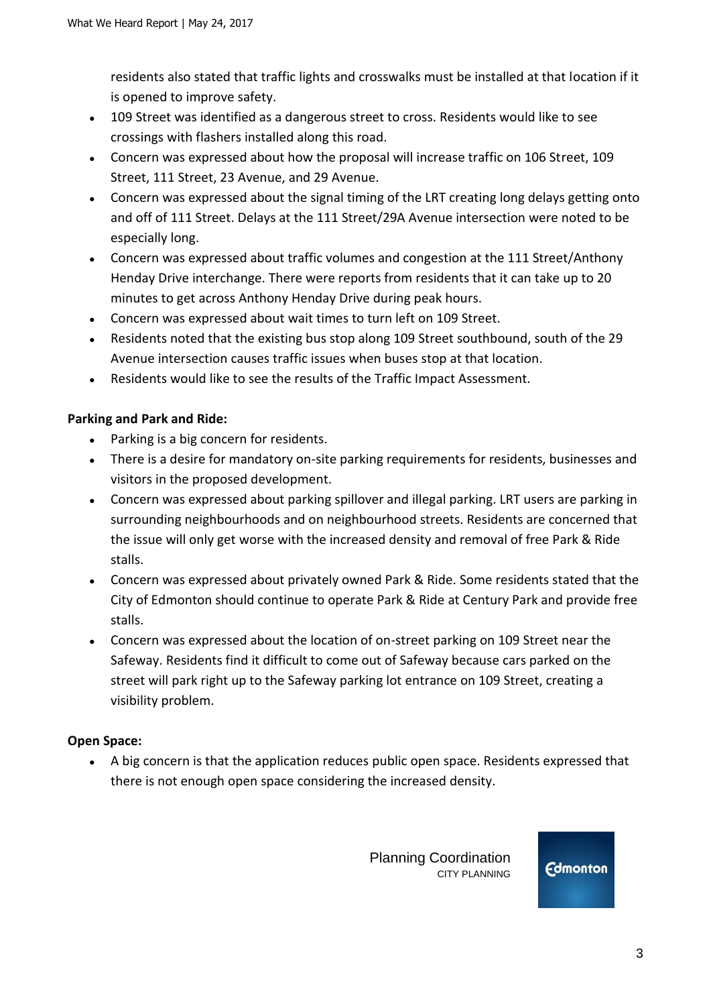residents also stated that traffic lights and crosswalks must be installed at that location if it is opened to improve safety.

- 109 Street was identified as a dangerous street to cross. Residents would like to see crossings with flashers installed along this road.
- Concern was expressed about how the proposal will increase traffic on 106 Street, 109 Street, 111 Street, 23 Avenue, and 29 Avenue.
- Concern was expressed about the signal timing of the LRT creating long delays getting onto and off of 111 Street. Delays at the 111 Street/29A Avenue intersection were noted to be especially long.
- Concern was expressed about traffic volumes and congestion at the 111 Street/Anthony Henday Drive interchange. There were reports from residents that it can take up to 20 minutes to get across Anthony Henday Drive during peak hours.
- Concern was expressed about wait times to turn left on 109 Street.
- Residents noted that the existing bus stop along 109 Street southbound, south of the 29 Avenue intersection causes traffic issues when buses stop at that location.
- Residents would like to see the results of the Traffic Impact Assessment.

## **Parking and Park and Ride:**

- Parking is a big concern for residents.
- There is a desire for mandatory on-site parking requirements for residents, businesses and visitors in the proposed development.
- Concern was expressed about parking spillover and illegal parking. LRT users are parking in surrounding neighbourhoods and on neighbourhood streets. Residents are concerned that the issue will only get worse with the increased density and removal of free Park & Ride stalls.
- Concern was expressed about privately owned Park & Ride. Some residents stated that the City of Edmonton should continue to operate Park & Ride at Century Park and provide free stalls.
- Concern was expressed about the location of on-street parking on 109 Street near the Safeway. Residents find it difficult to come out of Safeway because cars parked on the street will park right up to the Safeway parking lot entrance on 109 Street, creating a visibility problem.

## **Open Space:**

● A big concern is that the application reduces public open space. Residents expressed that there is not enough open space considering the increased density.

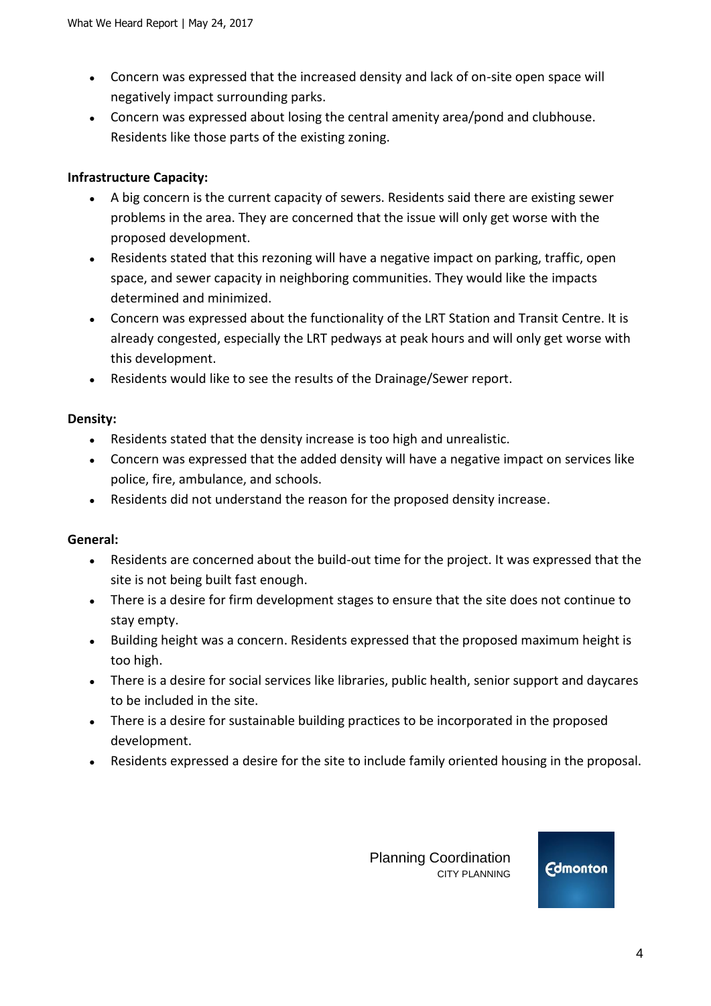- Concern was expressed that the increased density and lack of on-site open space will negatively impact surrounding parks.
- Concern was expressed about losing the central amenity area/pond and clubhouse. Residents like those parts of the existing zoning.

### **Infrastructure Capacity:**

- A big concern is the current capacity of sewers. Residents said there are existing sewer problems in the area. They are concerned that the issue will only get worse with the proposed development.
- Residents stated that this rezoning will have a negative impact on parking, traffic, open space, and sewer capacity in neighboring communities. They would like the impacts determined and minimized.
- Concern was expressed about the functionality of the LRT Station and Transit Centre. It is already congested, especially the LRT pedways at peak hours and will only get worse with this development.
- Residents would like to see the results of the Drainage/Sewer report.

#### **Density:**

- Residents stated that the density increase is too high and unrealistic.
- Concern was expressed that the added density will have a negative impact on services like police, fire, ambulance, and schools.
- Residents did not understand the reason for the proposed density increase.

## **General:**

- Residents are concerned about the build-out time for the project. It was expressed that the site is not being built fast enough.
- There is a desire for firm development stages to ensure that the site does not continue to stay empty.
- Building height was a concern. Residents expressed that the proposed maximum height is too high.
- There is a desire for social services like libraries, public health, senior support and daycares to be included in the site.
- There is a desire for sustainable building practices to be incorporated in the proposed development.
- Residents expressed a desire for the site to include family oriented housing in the proposal.

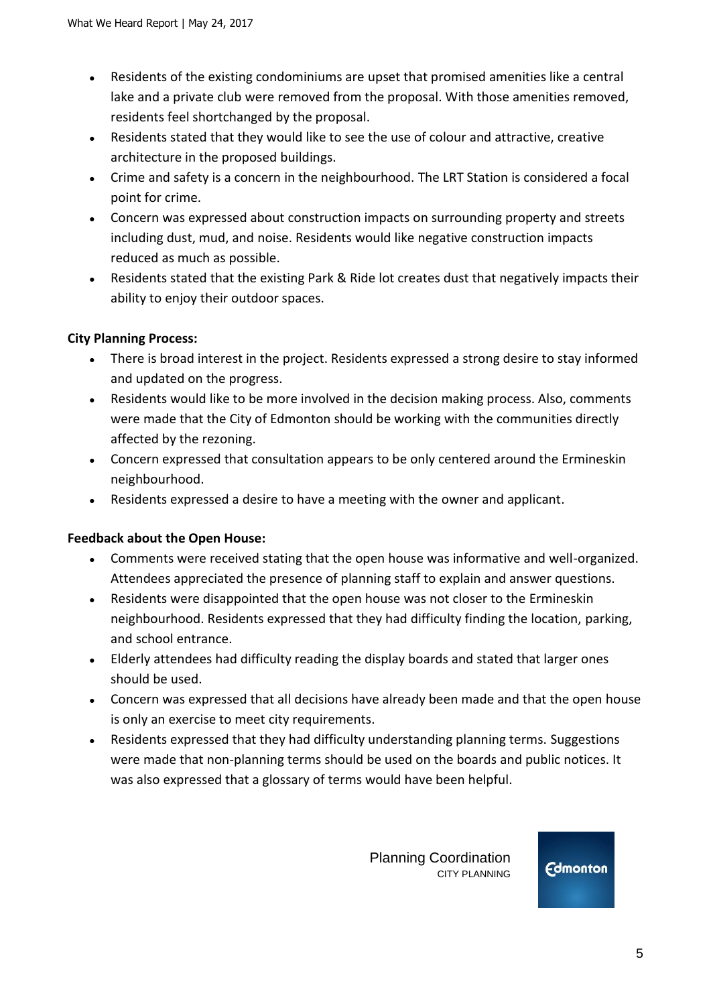- Residents of the existing condominiums are upset that promised amenities like a central lake and a private club were removed from the proposal. With those amenities removed, residents feel shortchanged by the proposal.
- Residents stated that they would like to see the use of colour and attractive, creative architecture in the proposed buildings.
- Crime and safety is a concern in the neighbourhood. The LRT Station is considered a focal point for crime.
- Concern was expressed about construction impacts on surrounding property and streets including dust, mud, and noise. Residents would like negative construction impacts reduced as much as possible.
- Residents stated that the existing Park & Ride lot creates dust that negatively impacts their ability to enjoy their outdoor spaces.

# **City Planning Process:**

- There is broad interest in the project. Residents expressed a strong desire to stay informed and updated on the progress.
- Residents would like to be more involved in the decision making process. Also, comments were made that the City of Edmonton should be working with the communities directly affected by the rezoning.
- Concern expressed that consultation appears to be only centered around the Ermineskin neighbourhood.
- Residents expressed a desire to have a meeting with the owner and applicant.

## **Feedback about the Open House:**

- Comments were received stating that the open house was informative and well-organized. Attendees appreciated the presence of planning staff to explain and answer questions.
- Residents were disappointed that the open house was not closer to the Ermineskin neighbourhood. Residents expressed that they had difficulty finding the location, parking, and school entrance.
- Elderly attendees had difficulty reading the display boards and stated that larger ones should be used.
- Concern was expressed that all decisions have already been made and that the open house is only an exercise to meet city requirements.
- Residents expressed that they had difficulty understanding planning terms. Suggestions were made that non-planning terms should be used on the boards and public notices. It was also expressed that a glossary of terms would have been helpful.

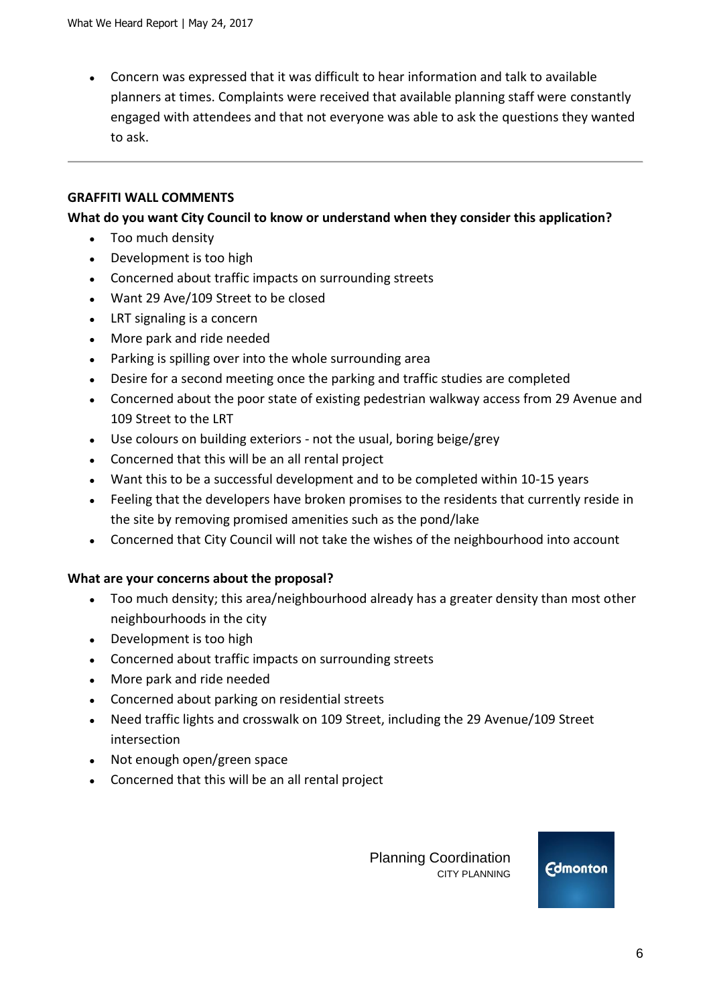• Concern was expressed that it was difficult to hear information and talk to available planners at times. Complaints were received that available planning staff were constantly engaged with attendees and that not everyone was able to ask the questions they wanted to ask.

#### **GRAFFITI WALL COMMENTS**

#### **What do you want City Council to know or understand when they consider this application?**

- Too much density
- Development is too high
- Concerned about traffic impacts on surrounding streets
- Want 29 Ave/109 Street to be closed
- LRT signaling is a concern
- More park and ride needed
- Parking is spilling over into the whole surrounding area
- Desire for a second meeting once the parking and traffic studies are completed
- Concerned about the poor state of existing pedestrian walkway access from 29 Avenue and 109 Street to the LRT
- Use colours on building exteriors not the usual, boring beige/grey
- Concerned that this will be an all rental project
- Want this to be a successful development and to be completed within 10-15 years
- Feeling that the developers have broken promises to the residents that currently reside in the site by removing promised amenities such as the pond/lake
- Concerned that City Council will not take the wishes of the neighbourhood into account

#### **What are your concerns about the proposal?**

- Too much density; this area/neighbourhood already has a greater density than most other neighbourhoods in the city
- Development is too high
- Concerned about traffic impacts on surrounding streets
- More park and ride needed
- Concerned about parking on residential streets
- Need traffic lights and crosswalk on 109 Street, including the 29 Avenue/109 Street intersection
- Not enough open/green space
- Concerned that this will be an all rental project

 Planning Coordination CITY PLANNING

**Edmonton**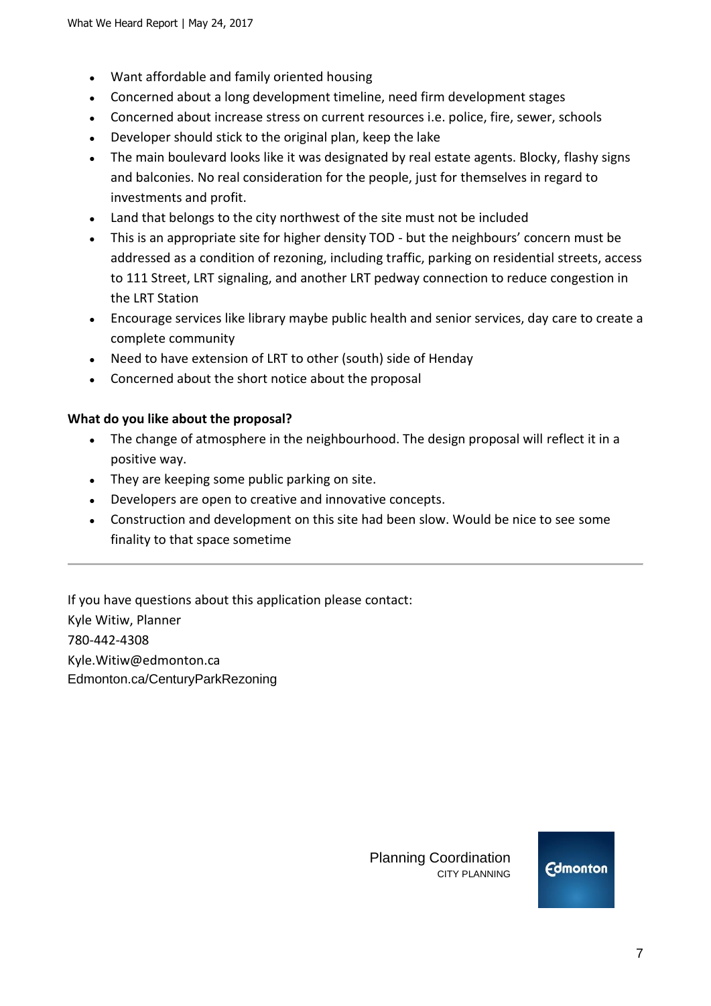- Want affordable and family oriented housing
- Concerned about a long development timeline, need firm development stages
- Concerned about increase stress on current resources i.e. police, fire, sewer, schools
- Developer should stick to the original plan, keep the lake
- The main boulevard looks like it was designated by real estate agents. Blocky, flashy signs and balconies. No real consideration for the people, just for themselves in regard to investments and profit.
- Land that belongs to the city northwest of the site must not be included
- This is an appropriate site for higher density TOD but the neighbours' concern must be addressed as a condition of rezoning, including traffic, parking on residential streets, access to 111 Street, LRT signaling, and another LRT pedway connection to reduce congestion in the LRT Station
- Encourage services like library maybe public health and senior services, day care to create a complete community
- Need to have extension of LRT to other (south) side of Henday
- Concerned about the short notice about the proposal

#### **What do you like about the proposal?**

- The change of atmosphere in the neighbourhood. The design proposal will reflect it in a positive way.
- They are keeping some public parking on site.
- Developers are open to creative and innovative concepts.
- Construction and development on this site had been slow. Would be nice to see some finality to that space sometime

If you have questions about this application please contact: Kyle Witiw, Planner 780-442-4308 Kyle.Witiw@edmonton.ca Edmonton.ca/CenturyParkRezoning

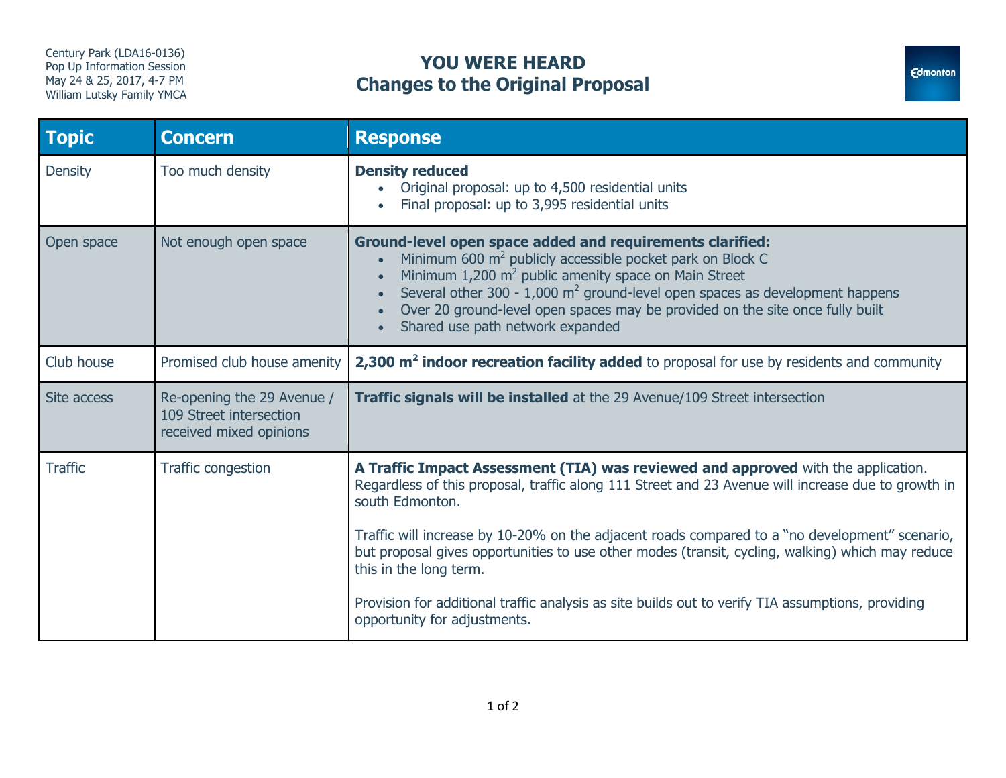# Century Park (LDA16-0136) **YOU WERE HEARD Changes to the Original Proposal**



| <b>Topic</b>   | <b>Concern</b>                                                                   | <b>Response</b>                                                                                                                                                                                                                                                                                                                                                                                                                                                                          |
|----------------|----------------------------------------------------------------------------------|------------------------------------------------------------------------------------------------------------------------------------------------------------------------------------------------------------------------------------------------------------------------------------------------------------------------------------------------------------------------------------------------------------------------------------------------------------------------------------------|
| <b>Density</b> | Too much density                                                                 | <b>Density reduced</b><br>Original proposal: up to 4,500 residential units<br>Final proposal: up to 3,995 residential units<br>$\bullet$                                                                                                                                                                                                                                                                                                                                                 |
| Open space     | Not enough open space                                                            | <b>Ground-level open space added and requirements clarified:</b><br>Minimum 600 m <sup>2</sup> publicly accessible pocket park on Block C<br>$\bullet$<br>Minimum $1,200$ m <sup>2</sup> public amenity space on Main Street<br>$\bullet$<br>Several other 300 - 1,000 $m^2$ ground-level open spaces as development happens<br>$\bullet$<br>Over 20 ground-level open spaces may be provided on the site once fully built<br>$\bullet$<br>Shared use path network expanded<br>$\bullet$ |
| Club house     | Promised club house amenity                                                      | $2,300$ $\mathrm{m}^2$ indoor recreation facility added to proposal for use by residents and community                                                                                                                                                                                                                                                                                                                                                                                   |
| Site access    | Re-opening the 29 Avenue /<br>109 Street intersection<br>received mixed opinions | <b>Traffic signals will be installed</b> at the 29 Avenue/109 Street intersection                                                                                                                                                                                                                                                                                                                                                                                                        |
| <b>Traffic</b> | Traffic congestion                                                               | A Traffic Impact Assessment (TIA) was reviewed and approved with the application.<br>Regardless of this proposal, traffic along 111 Street and 23 Avenue will increase due to growth in<br>south Edmonton.                                                                                                                                                                                                                                                                               |
|                |                                                                                  | Traffic will increase by 10-20% on the adjacent roads compared to a "no development" scenario,<br>but proposal gives opportunities to use other modes (transit, cycling, walking) which may reduce<br>this in the long term.                                                                                                                                                                                                                                                             |
|                |                                                                                  | Provision for additional traffic analysis as site builds out to verify TIA assumptions, providing<br>opportunity for adjustments.                                                                                                                                                                                                                                                                                                                                                        |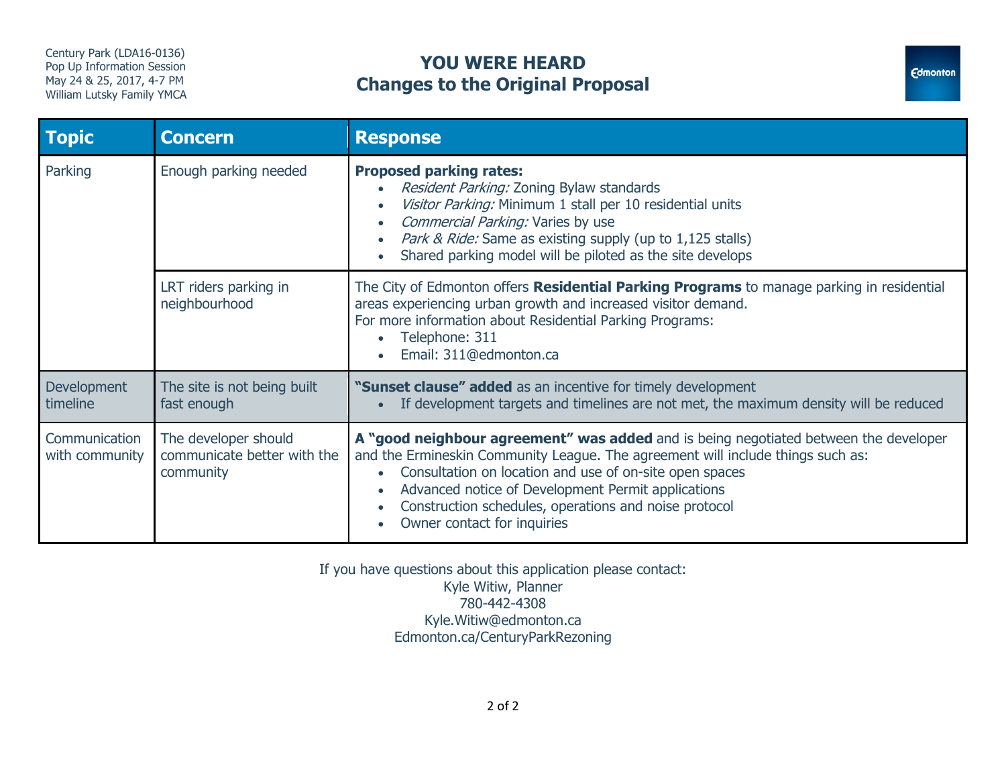# Century Park (LDA16-0136) **YOU WERE HEARD Changes to the Original Proposal**



| <b>Topic</b>                    | <b>Concern</b>                                                   | <b>Response</b>                                                                                                                                                                                                                                                                                                                                                                                                                      |
|---------------------------------|------------------------------------------------------------------|--------------------------------------------------------------------------------------------------------------------------------------------------------------------------------------------------------------------------------------------------------------------------------------------------------------------------------------------------------------------------------------------------------------------------------------|
| Parking                         | Enough parking needed                                            | <b>Proposed parking rates:</b><br>Resident Parking: Zoning Bylaw standards<br>$\bullet$<br>Visitor Parking: Minimum 1 stall per 10 residential units<br>$\bullet$<br>Commercial Parking: Varies by use<br>$\bullet$<br>Park & Ride: Same as existing supply (up to 1,125 stalls)<br>$\bullet$<br>Shared parking model will be piloted as the site develops<br>$\bullet$                                                              |
|                                 | LRT riders parking in<br>neighbourhood                           | The City of Edmonton offers Residential Parking Programs to manage parking in residential<br>areas experiencing urban growth and increased visitor demand.<br>For more information about Residential Parking Programs:<br>Telephone: 311<br>Email: 311@edmonton.ca                                                                                                                                                                   |
| Development<br>timeline         | The site is not being built<br>fast enough                       | "Sunset clause" added as an incentive for timely development<br>If development targets and timelines are not met, the maximum density will be reduced                                                                                                                                                                                                                                                                                |
| Communication<br>with community | The developer should<br>communicate better with the<br>community | A "good neighbour agreement" was added and is being negotiated between the developer<br>and the Ermineskin Community League. The agreement will include things such as:<br>Consultation on location and use of on-site open spaces<br>$\bullet$<br>Advanced notice of Development Permit applications<br>$\bullet$<br>Construction schedules, operations and noise protocol<br>$\bullet$<br>Owner contact for inquiries<br>$\bullet$ |

If you have questions about this application please contact: Kyle Witiw, Planner 780-442-4308 Kyle.Witiw@edmonton.ca Edmonton.ca/CenturyParkRezoning